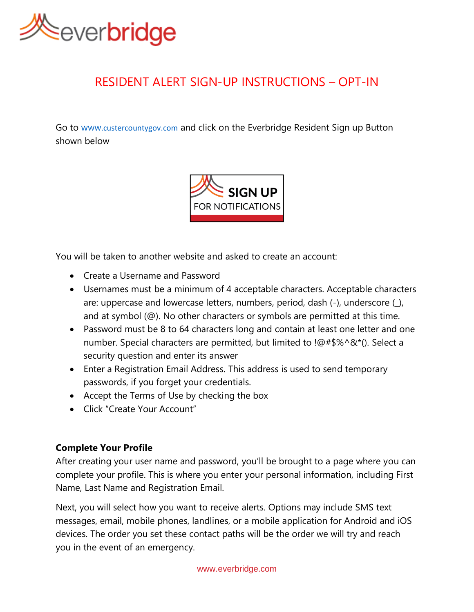

# RESIDENT ALERT SIGN-UP INSTRUCTIONS – OPT-IN

Go to www.[custercountygov.com](http://www.custercountygov.com/) and click on the Everbridge Resident Sign up Button shown below



You will be taken to another website and asked to create an account:

- Create a Username and Password
- Usernames must be a minimum of 4 acceptable characters. Acceptable characters are: uppercase and lowercase letters, numbers, period, dash (-), underscore (\_), and at symbol (@). No other characters or symbols are permitted at this time.
- Password must be 8 to 64 characters long and contain at least one letter and one number. Special characters are permitted, but limited to !@#\$%^&\*(). Select a security question and enter its answer
- Enter a Registration Email Address. This address is used to send temporary passwords, if you forget your credentials.
- Accept the Terms of Use by checking the box
- Click "Create Your Account"

# **Complete Your Profile**

After creating your user name and password, you'll be brought to a page where you can complete your profile. This is where you enter your personal information, including First Name, Last Name and Registration Email.

Next, you will select how you want to receive alerts. Options may include SMS text messages, email, mobile phones, landlines, or a mobile application for Android and iOS devices. The order you set these contact paths will be the order we will try and reach you in the event of an emergency.